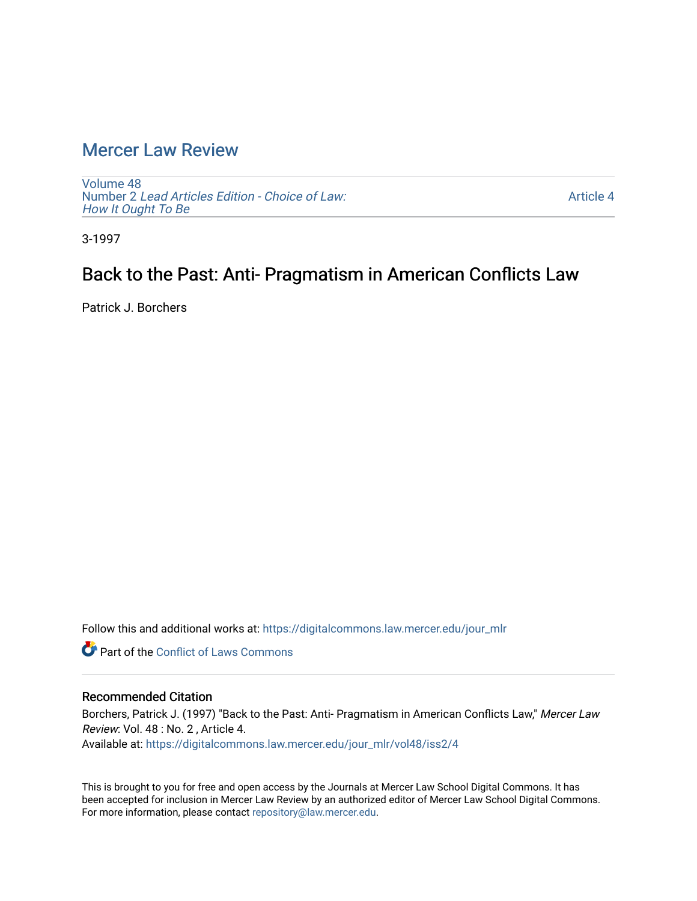## [Mercer Law Review](https://digitalcommons.law.mercer.edu/jour_mlr)

[Volume 48](https://digitalcommons.law.mercer.edu/jour_mlr/vol48) Number 2 [Lead Articles Edition - Choice of Law:](https://digitalcommons.law.mercer.edu/jour_mlr/vol48/iss2)  [How It Ought To Be](https://digitalcommons.law.mercer.edu/jour_mlr/vol48/iss2)

[Article 4](https://digitalcommons.law.mercer.edu/jour_mlr/vol48/iss2/4) 

3-1997

## Back to the Past: Anti- Pragmatism in American Conflicts Law

Patrick J. Borchers

Follow this and additional works at: [https://digitalcommons.law.mercer.edu/jour\\_mlr](https://digitalcommons.law.mercer.edu/jour_mlr?utm_source=digitalcommons.law.mercer.edu%2Fjour_mlr%2Fvol48%2Fiss2%2F4&utm_medium=PDF&utm_campaign=PDFCoverPages)

**C** Part of the Conflict of Laws Commons

#### Recommended Citation

Borchers, Patrick J. (1997) "Back to the Past: Anti- Pragmatism in American Conflicts Law," Mercer Law Review: Vol. 48 : No. 2 , Article 4. Available at: [https://digitalcommons.law.mercer.edu/jour\\_mlr/vol48/iss2/4](https://digitalcommons.law.mercer.edu/jour_mlr/vol48/iss2/4?utm_source=digitalcommons.law.mercer.edu%2Fjour_mlr%2Fvol48%2Fiss2%2F4&utm_medium=PDF&utm_campaign=PDFCoverPages)

This is brought to you for free and open access by the Journals at Mercer Law School Digital Commons. It has been accepted for inclusion in Mercer Law Review by an authorized editor of Mercer Law School Digital Commons. For more information, please contact [repository@law.mercer.edu](mailto:repository@law.mercer.edu).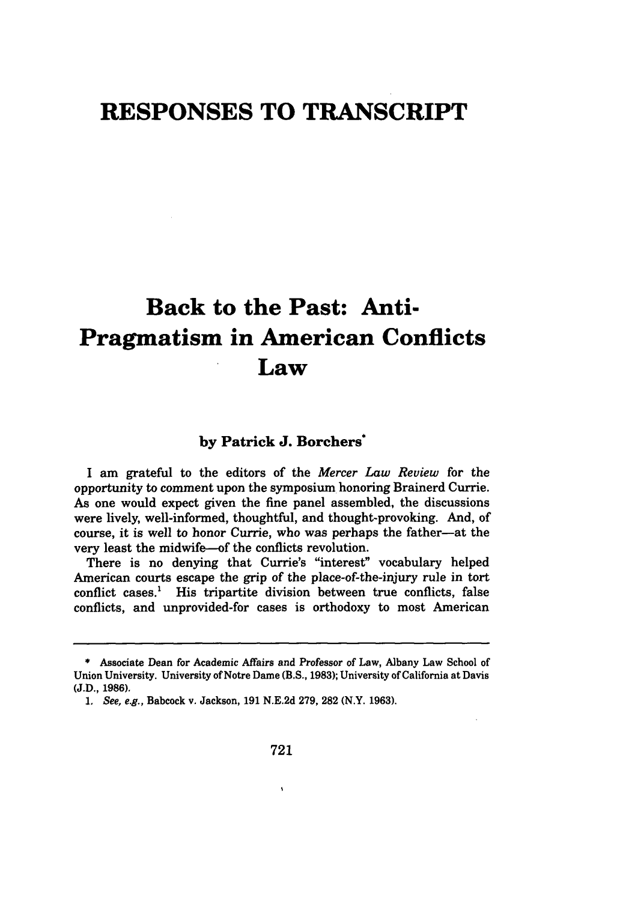# **RESPONSES TO TRANSCRIPT**

# **Back to the Past: Anti-Pragmatism in American Conflicts Law**

### **by Patrick J. Borchers\***

I am grateful to the editors of the *Mercer Law Reuiew* for the opportunity to comment upon the symposium honoring Brainerd Currie. As one would expect given the fine panel assembled, the discussions were lively, well-informed, thoughtful, and thought-provoking. And, of course, it is well to honor Currie, who was perhaps the father-at the very least the midwife-of the conflicts revolution.

There is no denying that Currie's "interest" vocabulary helped American courts escape the grip of the place-of-the-injury rule in tort conflict cases.' His tripartite division between true conflicts, false conflicts, and unprovided-for cases is orthodoxy to most American

 $\bar{\mathbf{v}}$ 

**<sup>\*</sup>** Associate Dean for Academic Affairs and Professor of Law, Albany Law School of Union University. University of Notre Dame (B.S., **1983);** University of California at Davis (J.D., **1986).**

*<sup>1.</sup> See, e.g.,* Babcock v. Jackson, **191** N.E.2d **279, 282** (N.Y. **1963).**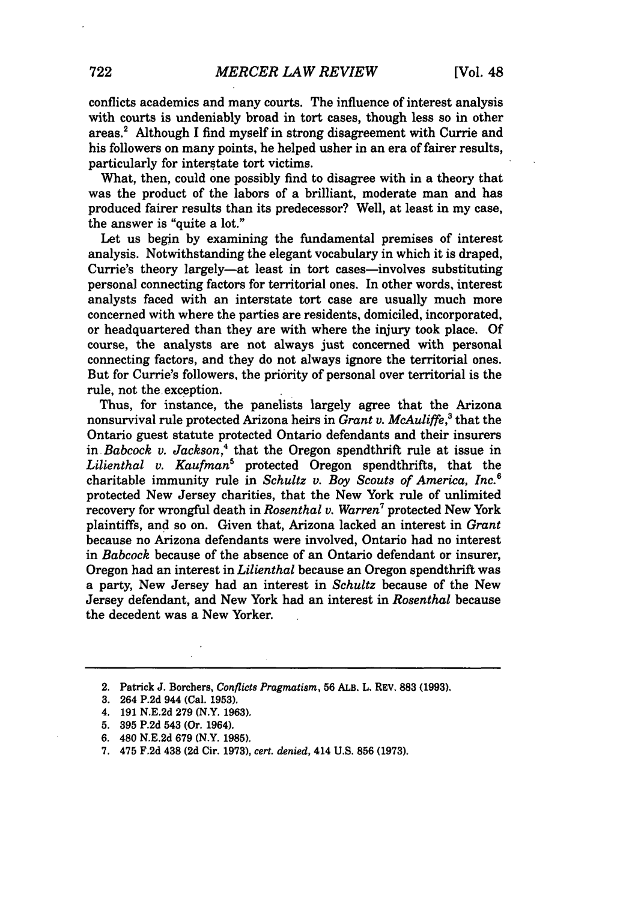conflicts academics and many courts. The influence of interest analysis with courts is undeniably broad in tort cases, though less so in other areas.2 Although I find myself in strong disagreement with Currie and his followers on many points, he helped usher in an era of fairer results, particularly for interstate tort victims.

What, then, could one possibly find to disagree with in a theory that was the product of the labors of a brilliant, moderate man and has produced fairer results than its predecessor? Well, at least in my case, the answer is "quite a lot."

Let us begin **by** examining the fundamental premises of interest analysis. Notwithstanding the elegant vocabulary in which it is draped, Currie's theory largely-at least in tort cases-involves substituting personal connecting factors for territorial ones. In other words, interest analysts faced with an interstate tort case are usually much more concerned with where the parties are residents, domiciled, incorporated, or headquartered than they are with where the injury took place. **Of** course, the analysts are not always just concerned with personal connecting factors, and they do not always ignore the territorial ones. But for Currie's followers, the priority of personal over territorial is the rule, not the exception.

Thus, for instance, the panelists largely agree that the Arizona nonsurvival rule protected Arizona heirs in *Grant v. McAuliffe,3* that the Ontario guest statute protected Ontario defendants and their insurers in *Babcock v. Jackson,4* that the Oregon spendthrift rule at issue in *Lilienthal v. Kaufman'* protected Oregon spendthrifts, that the charitable immunity rule in *Schultz v. Boy Scouts of America, Inc.6* protected New Jersey charities, that the New York rule of unlimited recovery for wrongful death in *Rosenthal v. Warren7* protected New York plaintiffs, and so on. Given that, Arizona lacked an interest in *Grant* because no Arizona defendants were involved, Ontario had no interest in *Babcock* because of the absence of an Ontario defendant or insurer, Oregon had an interest in *Lilienthal* because an Oregon spendthrift was a party, New Jersey had an interest in *Schultz* because of the New Jersey defendant, and New York had an interest in *Rosenthal* because the decedent was a New Yorker.

7. 475 F.2d 438 **(2d** Cir. 1973), *cert. denied,* 414 **U.S. 856** (1973).

<sup>2.</sup> Patrick J. Borchers, *Conflicts Pragmatism,* **56** ALB. L. REv. **883 (1993).**

<sup>3. 264</sup> P.2d 944 (Cal. **1953).**

<sup>4. 191</sup> N.E.2d 279 (N.Y. 1963).

<sup>5.</sup> **395** P.2d 543 (Or. 1964).

**<sup>6.</sup>** 480 N.E.2d 679 (N.Y. **1985).**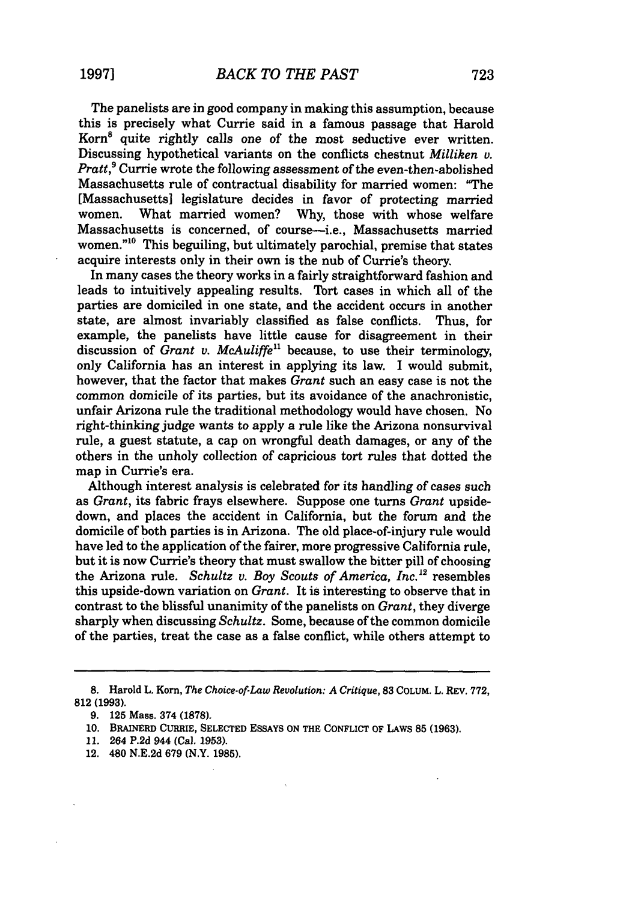The panelists are in good company in making this assumption, because this is precisely what Currie said in a famous passage that Harold Korn8 quite rightly calls one of the most seductive ever written. Discussing hypothetical variants on the conflicts chestnut *Milliken v. Pratt*,<sup>9</sup> Currie wrote the following assessment of the even-then-abolished Massachusetts rule of contractual disability for married women: "The [Massachusetts] legislature decides in favor of protecting married women. What married women? Why, those with whose welfare Massachusetts is concerned, of course-i.e., Massachusetts married women."<sup>10</sup> This beguiling, but ultimately parochial, premise that states acquire interests only in their own is the nub of Currie's theory.

In many cases the theory works in a fairly straightforward fashion and leads to intuitively appealing results. Tort cases in which all of the parties are domiciled in one state, and the accident occurs in another state, are almost invariably classified as false conflicts. Thus, for example, the panelists have little cause for disagreement in their discussion of *Grant v. McAuliffe"* because, to use their terminology, only California has an interest in applying its law. I would submit, however, that the factor that makes *Grant* such an easy case is not the common domicile of its parties, but its avoidance of the anachronistic, unfair Arizona rule the traditional methodology would have chosen. No right-thinking judge wants to apply a rule like the Arizona nonsurvival rule, a guest statute, a cap on wrongful death damages, or any of the others in the unholy collection of capricious tort rules that dotted the map in Currie's era.

Although interest analysis is celebrated for its handling of cases such as *Grant,* its fabric frays elsewhere. Suppose one turns *Grant* upsidedown, and places the accident in California, but the forum and the domicile of both parties is in Arizona. The old place-of-injury rule would have led to the application of the fairer, more progressive California rule, but it is now Currie's theory that must swallow the bitter pill of choosing the Arizona rule. *Schultz v. Boy Scouts of America, Inc.* <sup>12</sup> resembles this upside-down variation on *Grant.* It is interesting to observe that in contrast to the blissful unanimity of the panelists on *Grant,* they diverge sharply when discussing *Schultz.* Some, because of the common domicile of the parties, treat the case as a false conflict, while others attempt to

**<sup>8.</sup>** Harold L. Korn, *The Choice-of-Law Revolution: A Critique,* **83** COLUM. L. REv. **772, 812** (1993).

**<sup>9.</sup>** 125 Mass. 374 **(1878).**

**<sup>10.</sup>** BRAINERD CURRIE, SELECTED ESSAYS **ON** THE CONFLICT OF LAWS **85 (1963).**

<sup>11. 264</sup> P.2d 944 (Cal. 1953).

<sup>12. 480</sup> N.E.2d 679 (N.Y. **1985).**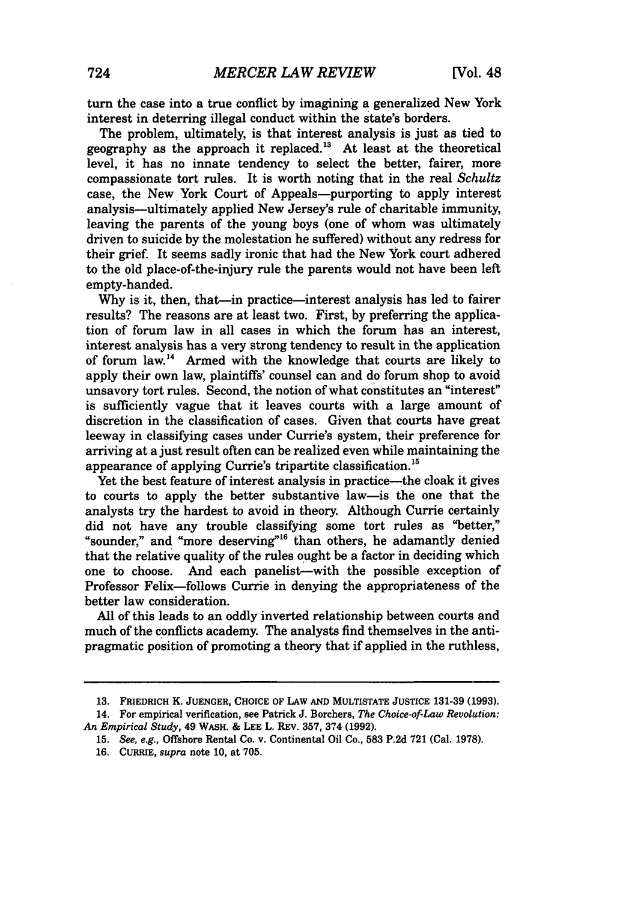turn the case into a true conflict by imagining a generalized New York interest in deterring illegal conduct within the state's borders.

The problem, ultimately, is that interest analysis is just as tied to geography as the approach it replaced."8 At least at the theoretical level, it has no innate tendency to select the better, fairer, more compassionate tort rules. It is worth noting that in the real *Schultz* case, the New York Court of Appeals--purporting to apply interest analysis-ultimately applied New Jersey's rule of charitable immunity, leaving the parents of the young boys (one of whom was ultimately driven to suicide by the molestation he suffered) without any redress for their grief. It seems sadly ironic that had the New York court adhered to the old place-of-the-injury rule the parents would not have been left empty-handed.

Why is it, then, that—in practice—interest analysis has led to fairer results? The reasons are at least two. First, by preferring the application of forum law in all cases in which the forum has an interest, interest analysis has a very strong tendency to result in the application of forum law.<sup>14</sup> Armed with the knowledge that courts are likely to apply their own law, plaintiffs' counsel can and do forum shop to avoid unsavory tort rules. Second, the notion of what constitutes an "interest" is sufficiently vague that it leaves courts with a large amount of discretion in the classification of cases. Given that courts have great leeway in classifying cases under Currie's system, their preference for arriving at a just result often can be realized even while maintaining the appearance of applying Currie's tripartite classification. <sup>15</sup>

Yet the best feature of interest analysis in practice—the cloak it gives to courts to apply the better substantive law-is the one that the analysts try the hardest to avoid in theory. Although Currie certainly did not have any trouble classifying some tort rules as "better," "sounder," and "more deserving"<sup>16</sup> than others, he adamantly denied that the relative quality of the rules ought be a factor in deciding which one to choose. And each panelist-with the possible exception of Professor Felix-follows Currie in denying the appropriateness of the better law consideration.

All of this leads to an oddly inverted relationship between courts and much of the conflicts academy. The analysts find themselves in the antipragmatic position of promoting a theory that if applied in the ruthless,

**<sup>13.</sup>** FRIEDRICH K. JUENGER, **CHOICE** OF LAW **AND** MULTISTATE **JUSTICE 131-39 (1993).**

<sup>14.</sup> For empirical verification, see Patrick **J.** Borchers, *The Choice-of.Law Revolution: An Empirical Study,* 49 WASH. & **LEE** L. REV. 357, 374 (1992).

**<sup>15.</sup>** *See, e.g.,* Offshore Rental Co. v. Continental Oil Co., 583 P.2d 721 (Cal. 1978).

<sup>16.</sup> CURRIE, *supra* note **10,** at 705.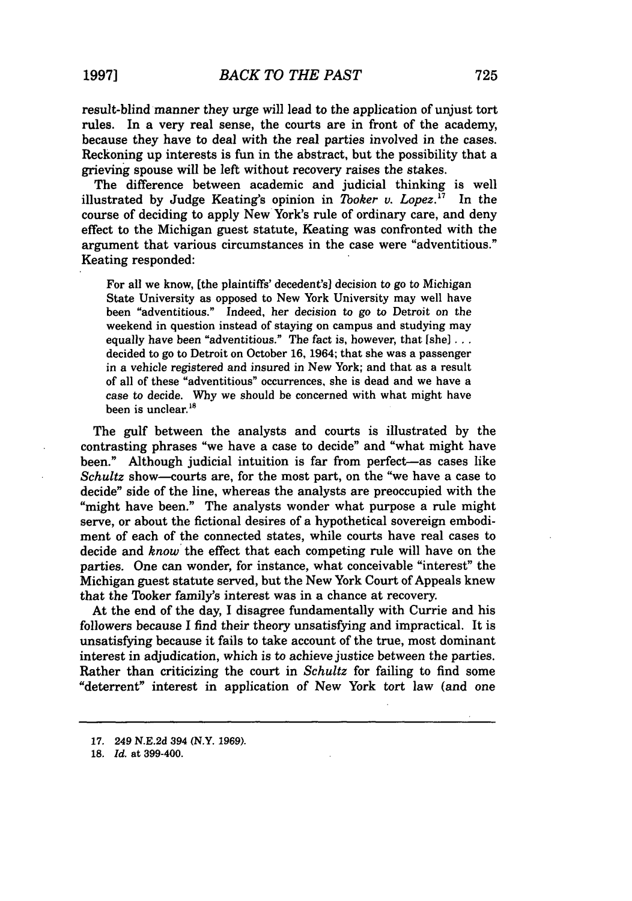result-blind manner they urge will lead to the application of unjust tort rules. In a very real sense, the courts are in front of the academy, because they have to deal with the real parties involved in the cases. Reckoning up interests is fun in the abstract, but the possibility that a grieving spouse will be left without recovery raises the stakes.

The difference between academic and judicial thinking is well illustrated by Judge Keating's opinion in *Tooker v. Lopez*.<sup>17</sup> In the course of deciding to apply New York's rule of ordinary care, and deny effect to the Michigan guest statute, Keating was confronted with the argument that various circumstances in the case were "adventitious." Keating responded:

For all we know, [the plaintiffs' decedent's] decision to go to Michigan State University as opposed to New York University may well have been "adventitious." Indeed, *her* decision to *go* to Detroit on the weekend in question instead of staying on campus and studying may equally have been "adventitious." The fact is, however, that [she]... decided to go to Detroit on October 16, 1964; that she was a passenger in a vehicle registered and insured in New York; and that as a result of all of these "adventitious" occurrences, she is dead and we have a case to decide. Why we should be concerned with what might have been is unclear.<sup>18</sup>

The gulf between the analysts and courts is illustrated by the contrasting phrases "we have a case to decide" and "what might have been." Although judicial intuition is far from perfect-as cases like *Schultz* show-courts are, for the most part, on the "we have a case to decide" side of the line, whereas the analysts are preoccupied with the "might have been." The analysts wonder what purpose a rule might serve, or about the fictional desires of a hypothetical sovereign embodiment of each of the connected states, while courts have real cases to decide and *know* the effect that each competing rule will have on the parties. One can wonder, for instance, what conceivable "interest" the Michigan guest statute served, but the New York Court of Appeals knew that the Tooker family's interest was in a chance at recovery.

At the end of the day, I disagree fundamentally with Currie and his followers because I find their theory unsatisfying and impractical. It is unsatisfying because it fails to take account of the true, most dominant interest in adjudication, which is to achieve justice between the parties. Rather than criticizing the court in *Schultz* for failing to find some "deterrent" interest in application of New York tort law (and one

**<sup>17.</sup>** 249 N.E.2d 394 (N.Y. **1969).**

**<sup>18.</sup>** *Id.* at 399-400.